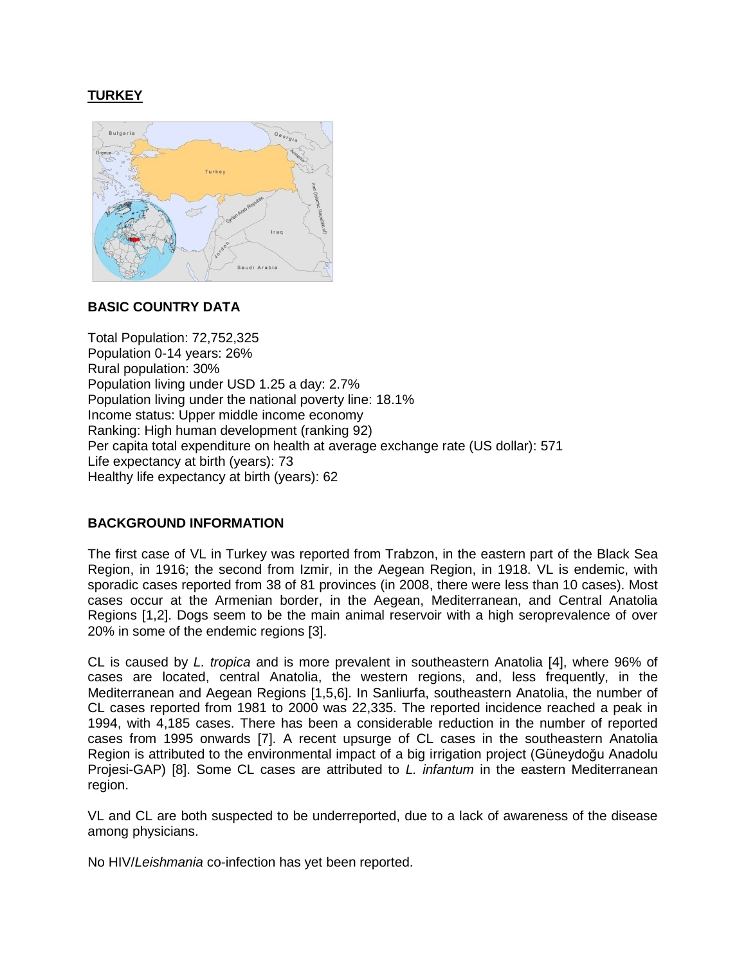# **TURKEY**



#### **BASIC COUNTRY DATA**

Total Population: 72,752,325 Population 0-14 years: 26% Rural population: 30% Population living under USD 1.25 a day: 2.7% Population living under the national poverty line: 18.1% Income status: Upper middle income economy Ranking: High human development (ranking 92) Per capita total expenditure on health at average exchange rate (US dollar): 571 Life expectancy at birth (years): 73 Healthy life expectancy at birth (years): 62

## **BACKGROUND INFORMATION**

The first case of VL in Turkey was reported from Trabzon, in the eastern part of the Black Sea Region, in 1916; the second from Izmir, in the Aegean Region, in 1918. VL is endemic, with sporadic cases reported from 38 of 81 provinces (in 2008, there were less than 10 cases). Most cases occur at the Armenian border, in the Aegean, Mediterranean, and Central Anatolia Regions [1,2]. Dogs seem to be the main animal reservoir with a high seroprevalence of over 20% in some of the endemic regions [3].

CL is caused by *L. tropica* and is more prevalent in southeastern Anatolia [4], where 96% of cases are located, central Anatolia, the western regions, and, less frequently, in the Mediterranean and Aegean Regions [1,5,6]. In Sanliurfa, southeastern Anatolia, the number of CL cases reported from 1981 to 2000 was 22,335. The reported incidence reached a peak in 1994, with 4,185 cases. There has been a considerable reduction in the number of reported cases from 1995 onwards [7]. A recent upsurge of CL cases in the southeastern Anatolia Region is attributed to the environmental impact of a big irrigation project (Güneydoğu Anadolu Projesi-GAP) [8]. Some CL cases are attributed to *L. infantum* in the eastern Mediterranean region.

VL and CL are both suspected to be underreported, due to a lack of awareness of the disease among physicians.

No HIV/*Leishmania* co-infection has yet been reported.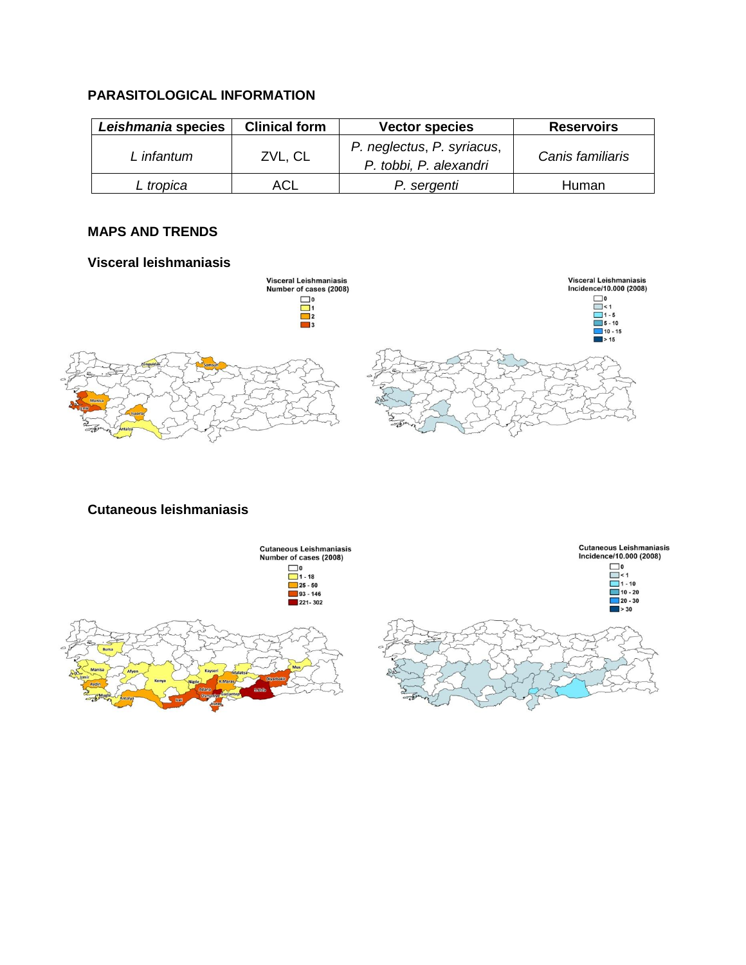## **PARASITOLOGICAL INFORMATION**

| Leishmania species | <b>Clinical form</b> | <b>Vector species</b>                                | <b>Reservoirs</b> |
|--------------------|----------------------|------------------------------------------------------|-------------------|
| L infantum         | ZVL, CL              | P. neglectus, P. syriacus,<br>P. tobbi, P. alexandri | Canis familiaris  |
| L tropica          | ACL                  | P. sergenti                                          | Human             |

## **MAPS AND TRENDS**

#### **Visceral leishmaniasis**



## **Cutaneous leishmaniasis**

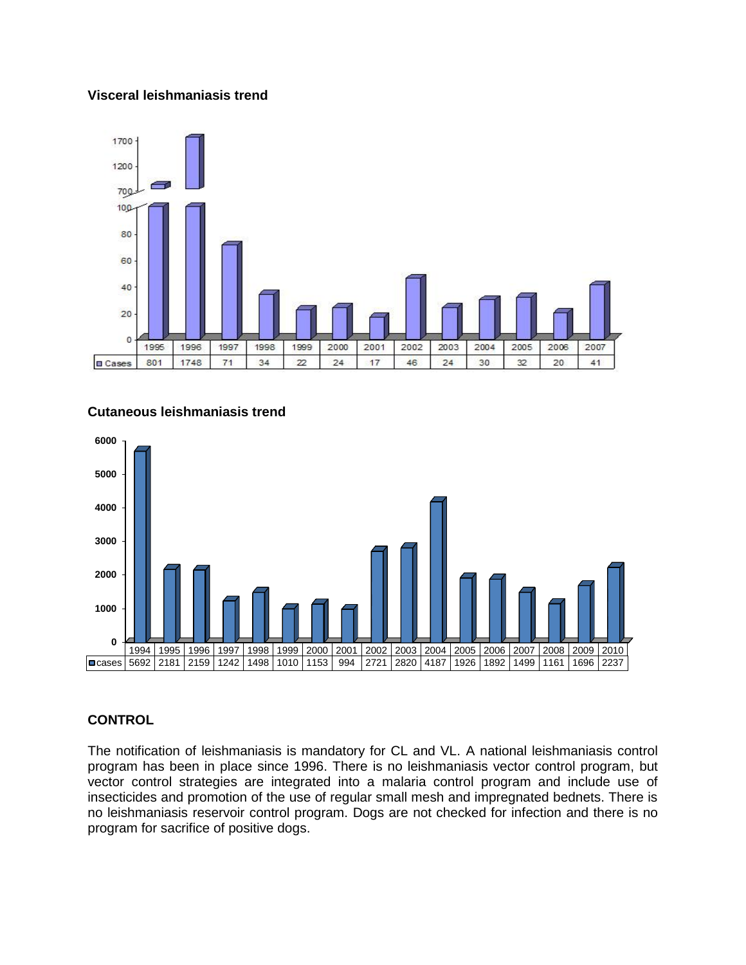#### **Visceral leishmaniasis trend**





## **Cutaneous leishmaniasis trend**

## **CONTROL**

The notification of leishmaniasis is mandatory for CL and VL. A national leishmaniasis control program has been in place since 1996. There is no leishmaniasis vector control program, but vector control strategies are integrated into a malaria control program and include use of insecticides and promotion of the use of regular small mesh and impregnated bednets. There is no leishmaniasis reservoir control program. Dogs are not checked for infection and there is no program for sacrifice of positive dogs.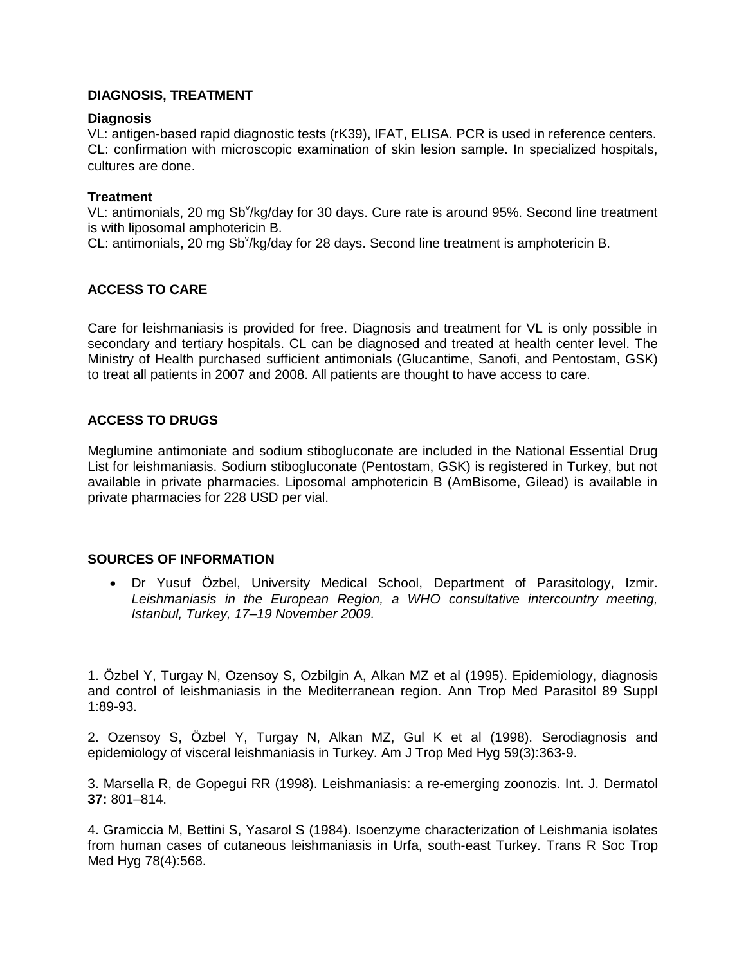## **DIAGNOSIS, TREATMENT**

#### **Diagnosis**

VL: antigen-based rapid diagnostic tests (rK39), IFAT, ELISA. PCR is used in reference centers. CL: confirmation with microscopic examination of skin lesion sample. In specialized hospitals, cultures are done.

#### **Treatment**

VL: antimonials, 20 mg Sb<sup>v</sup>/kg/day for 30 days. Cure rate is around 95%. Second line treatment is with liposomal amphotericin B.

CL: antimonials, 20 mg Sb<sup>v</sup>/kg/day for 28 days. Second line treatment is amphotericin B.

## **ACCESS TO CARE**

Care for leishmaniasis is provided for free. Diagnosis and treatment for VL is only possible in secondary and tertiary hospitals. CL can be diagnosed and treated at health center level. The Ministry of Health purchased sufficient antimonials (Glucantime, Sanofi, and Pentostam, GSK) to treat all patients in 2007 and 2008. All patients are thought to have access to care.

#### **ACCESS TO DRUGS**

Meglumine antimoniate and sodium stibogluconate are included in the National Essential Drug List for leishmaniasis. Sodium stibogluconate (Pentostam, GSK) is registered in Turkey, but not available in private pharmacies. Liposomal amphotericin B (AmBisome, Gilead) is available in private pharmacies for 228 USD per vial.

### **SOURCES OF INFORMATION**

 Dr Yusuf Özbel, University Medical School, Department of Parasitology, Izmir. *Leishmaniasis in the European Region, a WHO consultative intercountry meeting, Istanbul, Turkey, 17–19 November 2009.*

1. Özbel Y, Turgay N, Ozensoy S, Ozbilgin A, Alkan MZ et al (1995). [Epidemiology, diagnosis](http://www.ncbi.nlm.nih.gov/pubmed/8745931)  [and control of leishmaniasis in the Mediterranean region.](http://www.ncbi.nlm.nih.gov/pubmed/8745931) Ann Trop Med Parasitol 89 Suppl 1:89-93.

2. Ozensoy S, Özbel Y, Turgay N, Alkan MZ, Gul K et al (1998). [Serodiagnosis and](http://www.ncbi.nlm.nih.gov/pubmed/9749626)  [epidemiology of visceral leishmaniasis in Turkey.](http://www.ncbi.nlm.nih.gov/pubmed/9749626) Am J Trop Med Hyg 59(3):363-9.

3. Marsella R, de Gopegui RR (1998). Leishmaniasis: a re-emerging zoonozis. Int. J. Dermatol **37:** 801–814.

4. [Gramiccia M,](http://www.ncbi.nlm.nih.gov/pubmed?term=%22Gramiccia%20M%22%5BAuthor%5D) [Bettini S,](http://www.ncbi.nlm.nih.gov/pubmed?term=%22Bettini%20S%22%5BAuthor%5D) [Yasarol S](http://www.ncbi.nlm.nih.gov/pubmed?term=%22Yasarol%20S%22%5BAuthor%5D) (1984). Isoenzyme characterization of Leishmania isolates from human cases of cutaneous leishmaniasis in Urfa, south-east Turkey. [Trans R Soc Trop](http://www.ncbi.nlm.nih.gov/pubmed?term=Gramiccia%2C%20leishmaniasis%2C%20turkey##)  [Med Hyg 7](http://www.ncbi.nlm.nih.gov/pubmed?term=Gramiccia%2C%20leishmaniasis%2C%20turkey##)8(4):568.